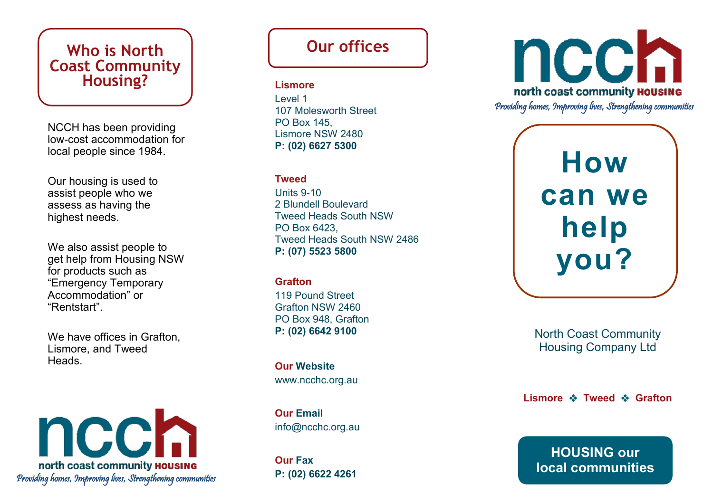## **Who is North Coast Community Housing?**

NCCH has been providing low -cost accommodation for local people since 1984.

Our housing is used to assist people who we assess as having the highest needs.

We also assist people to get help from Housing NSW for products such as "Emergency Temporary Accommodation" or "Rentstart".

We have offices in Grafton, Lismore, and Tweed Heads.

ncch north coast community **HOUSING** Providing homes, Improving lives, Strengthening communities

# **Our offices**

#### **Lismore**

Level 1 107 Molesworth Street PO Box 145, Lismore NSW 2480 **P: (02) 6627 5300** 

### **Tweed**

Units 9 -10 2 Blundell Boulevard Tweed Heads South NSW PO Box 6423, Tweed Heads South NSW 2486 **P: (07) 5523 5800**

#### **Grafton**

119 Pound Street Grafton NSW 2460 PO Box 948, Grafton **P: (02) 6642 9100**

**Our Website** www.ncchc.org.au

**Our Email** info@ncchc.org.au

**Our Fax P: (02) 6622 4261**



**How can we help you?**

North Coast Community Housing Company Ltd

**Lismore ❖ Tweed ❖ Grafton** 

**HOUSING our local communities**